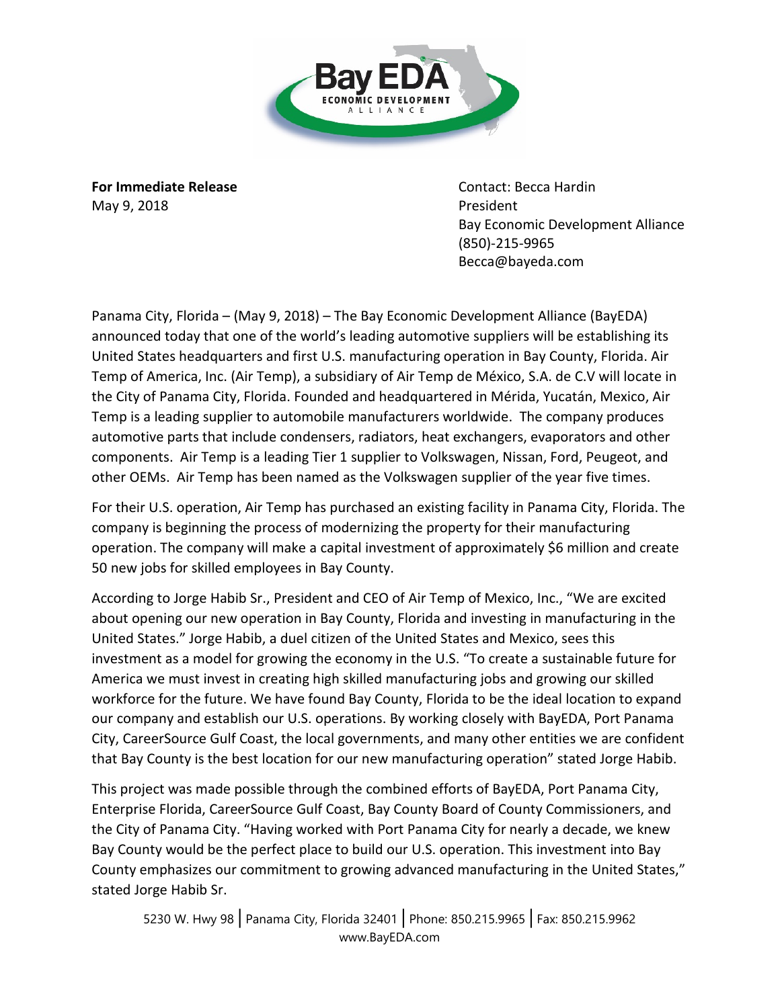

**For Immediate Release Contact: Becca Hardin** May 9, 2018 **President** 

Bay Economic Development Alliance (850)-215-9965 Becca@bayeda.com

Panama City, Florida – (May 9, 2018) – The Bay Economic Development Alliance (BayEDA) announced today that one of the world's leading automotive suppliers will be establishing its United States headquarters and first U.S. manufacturing operation in Bay County, Florida. Air Temp of America, Inc. (Air Temp), a subsidiary of Air Temp de México, S.A. de C.V will locate in the City of Panama City, Florida. Founded and headquartered in Mérida, Yucatán, Mexico, Air Temp is a leading supplier to automobile manufacturers worldwide. The company produces automotive parts that include condensers, radiators, heat exchangers, evaporators and other components. Air Temp is a leading Tier 1 supplier to Volkswagen, Nissan, Ford, Peugeot, and other OEMs. Air Temp has been named as the Volkswagen supplier of the year five times.

For their U.S. operation, Air Temp has purchased an existing facility in Panama City, Florida. The company is beginning the process of modernizing the property for their manufacturing operation. The company will make a capital investment of approximately \$6 million and create 50 new jobs for skilled employees in Bay County.

According to Jorge Habib Sr., President and CEO of Air Temp of Mexico, Inc., "We are excited about opening our new operation in Bay County, Florida and investing in manufacturing in the United States." Jorge Habib, a duel citizen of the United States and Mexico, sees this investment as a model for growing the economy in the U.S. "To create a sustainable future for America we must invest in creating high skilled manufacturing jobs and growing our skilled workforce for the future. We have found Bay County, Florida to be the ideal location to expand our company and establish our U.S. operations. By working closely with BayEDA, Port Panama City, CareerSource Gulf Coast, the local governments, and many other entities we are confident that Bay County is the best location for our new manufacturing operation" stated Jorge Habib.

This project was made possible through the combined efforts of BayEDA, Port Panama City, Enterprise Florida, CareerSource Gulf Coast, Bay County Board of County Commissioners, and the City of Panama City. "Having worked with Port Panama City for nearly a decade, we knew Bay County would be the perfect place to build our U.S. operation. This investment into Bay County emphasizes our commitment to growing advanced manufacturing in the United States," stated Jorge Habib Sr.

5230 W. Hwy 98 | Panama City, Florida 32401 | Phone: 850.215.9965 | Fax: 850.215.9962 www.BayEDA.com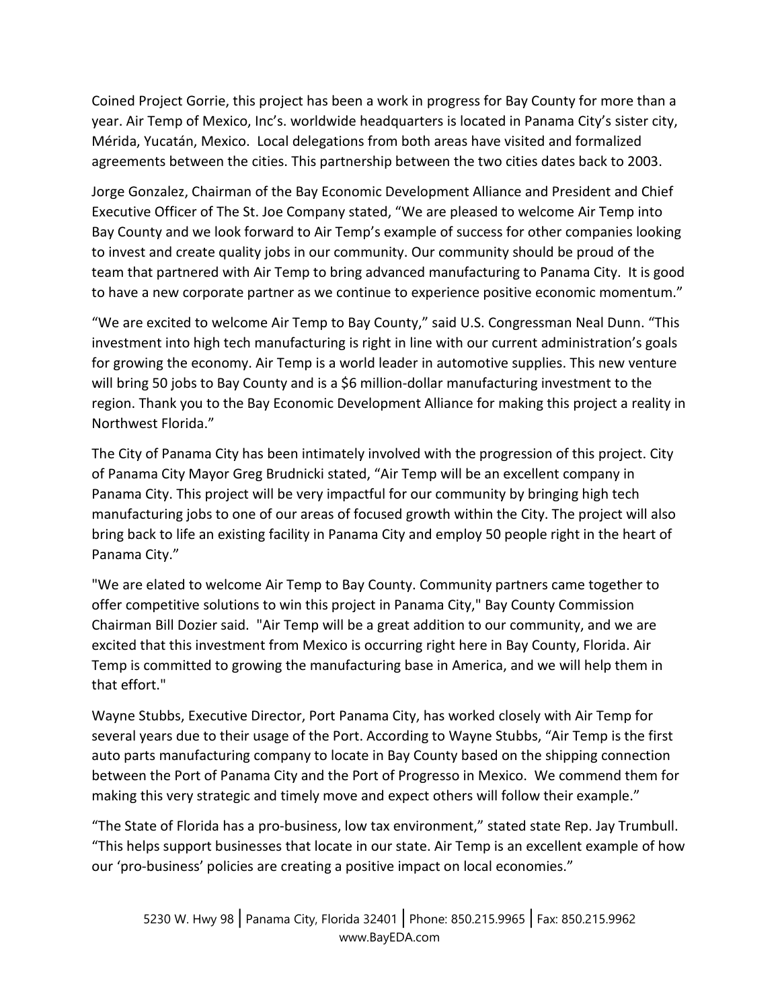Coined Project Gorrie, this project has been a work in progress for Bay County for more than a year. Air Temp of Mexico, Inc's. worldwide headquarters is located in Panama City's sister city, Mérida, Yucatán, Mexico. Local delegations from both areas have visited and formalized agreements between the cities. This partnership between the two cities dates back to 2003.

Jorge Gonzalez, Chairman of the Bay Economic Development Alliance and President and Chief Executive Officer of The St. Joe Company stated, "We are pleased to welcome Air Temp into Bay County and we look forward to Air Temp's example of success for other companies looking to invest and create quality jobs in our community. Our community should be proud of the team that partnered with Air Temp to bring advanced manufacturing to Panama City. It is good to have a new corporate partner as we continue to experience positive economic momentum."

"We are excited to welcome Air Temp to Bay County," said U.S. Congressman Neal Dunn. "This investment into high tech manufacturing is right in line with our current administration's goals for growing the economy. Air Temp is a world leader in automotive supplies. This new venture will bring 50 jobs to Bay County and is a \$6 million-dollar manufacturing investment to the region. Thank you to the Bay Economic Development Alliance for making this project a reality in Northwest Florida."

The City of Panama City has been intimately involved with the progression of this project. City of Panama City Mayor Greg Brudnicki stated, "Air Temp will be an excellent company in Panama City. This project will be very impactful for our community by bringing high tech manufacturing jobs to one of our areas of focused growth within the City. The project will also bring back to life an existing facility in Panama City and employ 50 people right in the heart of Panama City."

"We are elated to welcome Air Temp to Bay County. Community partners came together to offer competitive solutions to win this project in Panama City," Bay County Commission Chairman Bill Dozier said. "Air Temp will be a great addition to our community, and we are excited that this investment from Mexico is occurring right here in Bay County, Florida. Air Temp is committed to growing the manufacturing base in America, and we will help them in that effort."

Wayne Stubbs, Executive Director, Port Panama City, has worked closely with Air Temp for several years due to their usage of the Port. According to Wayne Stubbs, "Air Temp is the first auto parts manufacturing company to locate in Bay County based on the shipping connection between the Port of Panama City and the Port of Progresso in Mexico. We commend them for making this very strategic and timely move and expect others will follow their example."

"The State of Florida has a pro-business, low tax environment," stated state Rep. Jay Trumbull. "This helps support businesses that locate in our state. Air Temp is an excellent example of how our 'pro-business' policies are creating a positive impact on local economies."